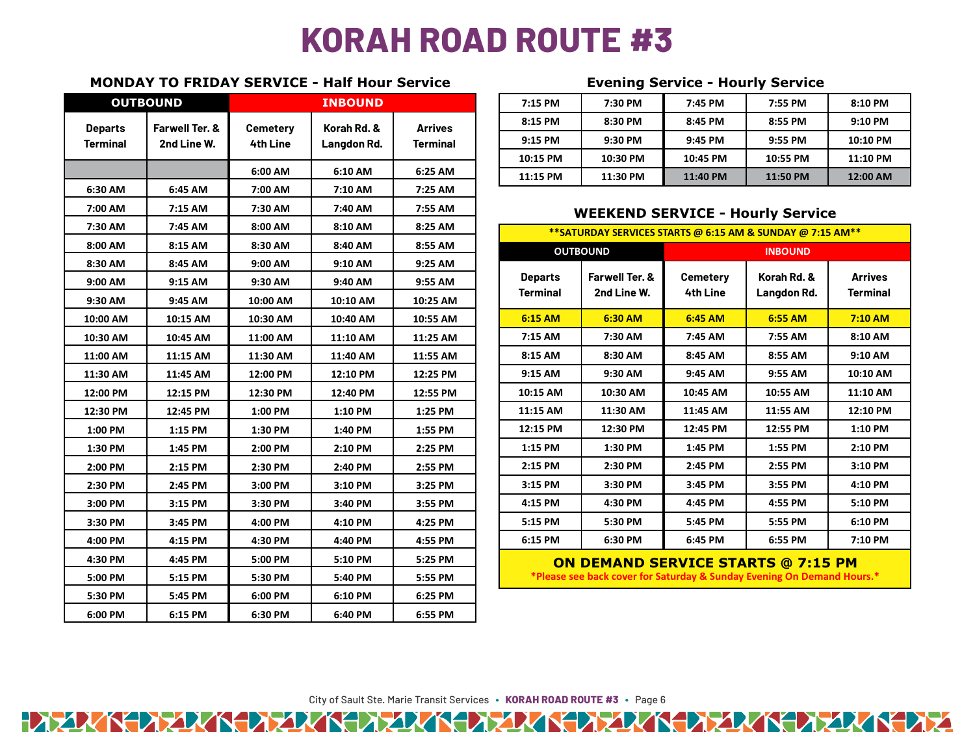## **KORAH ROAD ROUTE #3**

## **MONDAY TO FRIDAY SERVICE - Half Hour Service Evening Service - Hourly Service**

| <b>OUTBOUND</b> |                                          | <b>INBOUND</b>                     |                            |                                   |                                         | 7:15 PM                                                                                                             | 7:30 PM                       | 7:45 PM                            | 7:55 PM                    | 8:10 PM                           |
|-----------------|------------------------------------------|------------------------------------|----------------------------|-----------------------------------|-----------------------------------------|---------------------------------------------------------------------------------------------------------------------|-------------------------------|------------------------------------|----------------------------|-----------------------------------|
| <b>Departs</b>  | <b>Farwell Ter. &amp;</b><br>2nd Line W. | <b>Cemetery</b><br><b>4th Line</b> | Korah Rd. &<br>Langdon Rd. | <b>Arrives</b><br><b>Terminal</b> |                                         | 8:15 PM                                                                                                             | 8:30 PM                       | 8:45 PM                            | 8:55 PM                    | 9:10 PM                           |
| <b>Terminal</b> |                                          |                                    |                            |                                   |                                         | 9:15 PM                                                                                                             | 9:30 PM                       | 9:45 PM                            | 9:55 PM                    | 10:10 PM                          |
|                 |                                          |                                    |                            |                                   |                                         | 10:15 PM                                                                                                            | 10:30 PM                      | 10:45 PM                           | 10:55 PM                   | 11:10 PM                          |
|                 |                                          | 6:00 AM                            | 6:10 AM                    | 6:25 AM                           |                                         | 11:15 PM                                                                                                            | 11:30 PM                      | 11:40 PM                           | 11:50 PM                   | 12:00 AM                          |
| 6:30 AM         | 6:45 AM                                  | 7:00 AM                            | 7:10 AM                    | 7:25 AM                           |                                         |                                                                                                                     |                               |                                    |                            |                                   |
| 7:00 AM         | 7:15 AM                                  | 7:30 AM                            | 7:40 AM                    | 7:55 AM                           | <b>WEEKEND SERVICE - Hourly Service</b> |                                                                                                                     |                               |                                    |                            |                                   |
| 7:30 AM         | 7:45 AM                                  | 8:00 AM                            | 8:10 AM                    | 8:25 AM                           |                                         | ** SATURDAY SERVICES STARTS @ 6:15 AM & SUNDAY @ 7:15 AM**                                                          |                               |                                    |                            |                                   |
| 8:00 AM         | 8:15 AM                                  | 8:30 AM                            | 8:40 AM                    | 8:55 AM                           |                                         | <b>OUTBOUND</b>                                                                                                     |                               | <b>INBOUND</b>                     |                            |                                   |
| 8:30 AM         | 8:45 AM                                  | 9:00 AM                            | 9:10 AM                    | 9:25 AM                           |                                         |                                                                                                                     |                               |                                    |                            |                                   |
| 9:00 AM         | 9:15 AM                                  | 9:30 AM                            | 9:40 AM                    | 9:55 AM                           |                                         | <b>Departs</b><br><b>Terminal</b>                                                                                   | Farwell Ter. &<br>2nd Line W. | <b>Cemetery</b><br><b>4th Line</b> | Korah Rd. &<br>Langdon Rd. | <b>Arrives</b><br><b>Terminal</b> |
| 9:30 AM         | 9:45 AM                                  | 10:00 AM                           | 10:10 AM                   | 10:25 AM                          |                                         |                                                                                                                     |                               |                                    |                            |                                   |
| 10:00 AM        | 10:15 AM                                 | 10:30 AM                           | 10:40 AM                   | 10:55 AM                          |                                         | 6:15 AM                                                                                                             | 6:30 AM                       | 6:45 AM                            | 6:55 AM                    | 7:10 AM                           |
| 10:30 AM        | 10:45 AM                                 | 11:00 AM                           | 11:10 AM                   | 11:25 AM                          |                                         | 7:15 AM                                                                                                             | 7:30 AM                       | 7:45 AM                            | 7:55 AM                    | 8:10 AM                           |
| 11:00 AM        | 11:15 AM                                 | 11:30 AM                           | 11:40 AM                   | 11:55 AM                          |                                         | 8:15 AM                                                                                                             | 8:30 AM                       | 8:45 AM                            | 8:55 AM                    | 9:10 AM                           |
| 11:30 AM        | 11:45 AM                                 | 12:00 PM                           | 12:10 PM                   | 12:25 PM                          |                                         | 9:15 AM                                                                                                             | 9:30 AM                       | 9:45 AM                            | 9:55 AM                    | 10:10 AM                          |
| 12:00 PM        | 12:15 PM                                 | 12:30 PM                           | 12:40 PM                   | 12:55 PM                          |                                         | 10:15 AM                                                                                                            | 10:30 AM                      | 10:45 AM                           | 10:55 AM                   | 11:10 AM                          |
| 12:30 PM        | 12:45 PM                                 | 1:00 PM                            | 1:10 PM                    | 1:25 PM                           |                                         | 11:15 AM                                                                                                            | 11:30 AM                      | 11:45 AM                           | 11:55 AM                   | 12:10 PM                          |
| 1:00 PM         | 1:15 PM                                  | 1:30 PM                            | 1:40 PM                    | 1:55 PM                           |                                         | 12:15 PM                                                                                                            | 12:30 PM                      | 12:45 PM                           | 12:55 PM                   | 1:10 PM                           |
| 1:30 PM         | 1:45 PM                                  | 2:00 PM                            | 2:10 PM                    | 2:25 PM                           |                                         | 1:15 PM                                                                                                             | 1:30 PM                       | 1:45 PM                            | 1:55 PM                    | 2:10 PM                           |
| 2:00 PM         | 2:15 PM                                  | 2:30 PM                            | 2:40 PM                    | 2:55 PM                           |                                         | 2:15 PM                                                                                                             | 2:30 PM                       | 2:45 PM                            | 2:55 PM                    | 3:10 PM                           |
| 2:30 PM         | 2:45 PM                                  | 3:00 PM                            | 3:10 PM                    | 3:25 PM                           |                                         | 3:15 PM                                                                                                             | 3:30 PM                       | 3:45 PM                            | 3:55 PM                    | 4:10 PM                           |
| 3:00 PM         | 3:15 PM                                  | 3:30 PM                            | 3:40 PM                    | 3:55 PM                           |                                         | 4:15 PM                                                                                                             | 4:30 PM                       | 4:45 PM                            | 4:55 PM                    | 5:10 PM                           |
| 3:30 PM         | 3:45 PM                                  | 4:00 PM                            | 4:10 PM                    | 4:25 PM                           |                                         | 5:15 PM                                                                                                             | 5:30 PM                       | 5:45 PM                            | 5:55 PM                    | 6:10 PM                           |
| 4:00 PM         | 4:15 PM                                  | 4:30 PM                            | 4:40 PM                    | 4:55 PM                           |                                         | 6:15 PM                                                                                                             | 6:30 PM                       | 6:45 PM                            | 6:55 PM                    | 7:10 PM                           |
| 4:30 PM         | 4:45 PM                                  | 5:00 PM                            | 5:10 PM                    | 5:25 PM                           |                                         |                                                                                                                     |                               |                                    |                            |                                   |
| 5:00 PM         | 5:15 PM                                  | 5:30 PM                            | 5:40 PM                    | 5:55 PM                           |                                         | <b>ON DEMAND SERVICE STARTS @ 7:15 PM</b><br>*Please see back cover for Saturday & Sunday Evening On Demand Hours.* |                               |                                    |                            |                                   |
| 5:30 PM         | 5:45 PM                                  | 6:00 PM                            | 6:10 PM                    | 6:25 PM                           |                                         |                                                                                                                     |                               |                                    |                            |                                   |
| 6:00 PM         | 6:15 PM                                  | 6:30 PM                            | 6:40 PM                    | 6:55 PM                           |                                         |                                                                                                                     |                               |                                    |                            |                                   |

| OUTBOUND |                           | <b>INBOUND</b>                         |                                       |                                       | 7:15 PM   | 7:30 PM  | 7:45 PM  | 7:55 PM   | 8:10 PM  |
|----------|---------------------------|----------------------------------------|---------------------------------------|---------------------------------------|-----------|----------|----------|-----------|----------|
| rts      | <b>Farwell Ter. &amp;</b> | Cemeterv<br><b>4th Line</b><br>6:00 AM | Korah Rd. &<br>Langdon Rd.<br>6:10 AM | <b>Arrives</b><br>Terminal<br>6:25 AM | 8:15 PM   | 8:30 PM  | 8:45 PM  | 8:55 PM   | 9:10 PM  |
| nal      | 2nd Line W.               |                                        |                                       |                                       | $9:15$ PM | 9:30 PM  | 9:45 PM  | $9:55$ PM | 10:10 PM |
|          |                           |                                        |                                       |                                       | 10:15 PM  | 10:30 PM | 10:45 PM | 10:55 PM  | 11:10 PM |
|          |                           |                                        |                                       |                                       | 11:15 PM  | 11:30 PM | 11:40 PM | 11:50 PM  | 12:00 AM |

## **WEEKEND SERVICE - Hourly Service**

| **SATURDAY SERVICES STARTS @ 6:15 AM & SUNDAY @ 7:15 AM** |                                          |                             |                            |                                   |  |  |  |  |
|-----------------------------------------------------------|------------------------------------------|-----------------------------|----------------------------|-----------------------------------|--|--|--|--|
|                                                           | <b>OUTBOUND</b>                          | <b>INBOUND</b>              |                            |                                   |  |  |  |  |
| <b>Departs</b><br><b>Terminal</b>                         | <b>Farwell Ter. &amp;</b><br>2nd Line W. | <b>Cemetery</b><br>4th Line | Korah Rd. &<br>Langdon Rd. | <b>Arrives</b><br><b>Terminal</b> |  |  |  |  |
| 6:15 AM                                                   | 6:30 AM                                  | $6:45$ AM                   | 6:55 AM                    | $7:10$ AM                         |  |  |  |  |
| 7:15 AM                                                   | 7:30 AM                                  | 7:45 AM                     | 7:55 AM                    | 8:10 AM                           |  |  |  |  |
| 8:15 AM                                                   | 8:30 AM                                  | 8:45 AM                     | 8:55 AM                    | 9:10 AM                           |  |  |  |  |
| 9:15 AM                                                   | 9:30 AM                                  | 9:45 AM                     | 9:55 AM                    | 10:10 AM                          |  |  |  |  |
| 10:15 AM                                                  | 10:30 AM                                 | 10:45 AM                    | 10:55 AM                   | 11:10 AM                          |  |  |  |  |
| 11:15 AM                                                  | 11:30 AM                                 | 11:45 AM                    | 11:55 AM                   | 12:10 PM                          |  |  |  |  |
| 12:15 PM                                                  | 12:30 PM                                 | 12:45 PM                    | 12:55 PM                   | 1:10 PM                           |  |  |  |  |
| 1:15 PM                                                   | 1:30 PM                                  | 1:45 PM                     | 1:55 PM                    | 2:10 PM                           |  |  |  |  |
| 2:15 PM                                                   | 2:30 PM                                  | 2:45 PM                     | 2:55 PM                    | 3:10 PM                           |  |  |  |  |
| 3:15 PM                                                   | 3:30 PM                                  | 3:45 PM                     | 3:55 PM                    | 4:10 PM                           |  |  |  |  |
| 4:15 PM                                                   | 4:30 PM                                  | 4:45 PM                     | 4:55 PM                    | 5:10 PM                           |  |  |  |  |
| 5:15 PM                                                   | 5:30 PM                                  | 5:45 PM                     | 5:55 PM                    | 6:10 PM                           |  |  |  |  |
| 6:15 PM                                                   | 6:30 PM                                  | 6:45 PM                     | 6:55 PM                    | 7:10 PM                           |  |  |  |  |

City of Sault Ste. Marie Transit Services **∙ KORAH ROAD ROUTE #3 ∙** Page 6